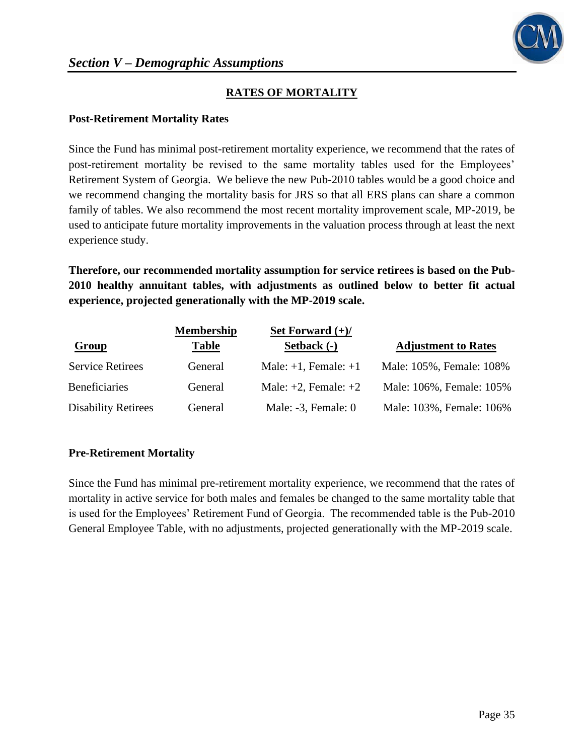## **RATES OF MORTALITY**

#### **Post-Retirement Mortality Rates**

Since the Fund has minimal post-retirement mortality experience, we recommend that the rates of post-retirement mortality be revised to the same mortality tables used for the Employees' Retirement System of Georgia. We believe the new Pub-2010 tables would be a good choice and we recommend changing the mortality basis for JRS so that all ERS plans can share a common family of tables. We also recommend the most recent mortality improvement scale, MP-2019, be used to anticipate future mortality improvements in the valuation process through at least the next experience study.

**Therefore, our recommended mortality assumption for service retirees is based on the Pub-2010 healthy annuitant tables, with adjustments as outlined below to better fit actual experience, projected generationally with the MP-2019 scale.**

|                            | <b>Membership</b> | Set Forward $(+)/$        |                            |
|----------------------------|-------------------|---------------------------|----------------------------|
| <b>Group</b>               | <b>Table</b>      | Setback (-)               | <b>Adjustment to Rates</b> |
| <b>Service Retirees</b>    | General           | Male: $+1$ , Female: $+1$ | Male: 105%, Female: 108%   |
| <b>Beneficiaries</b>       | General           | Male: $+2$ , Female: $+2$ | Male: 106%, Female: 105%   |
| <b>Disability Retirees</b> | General           | Male: $-3$ , Female: 0    | Male: 103%, Female: 106%   |

## **Pre-Retirement Mortality**

Since the Fund has minimal pre-retirement mortality experience, we recommend that the rates of mortality in active service for both males and females be changed to the same mortality table that is used for the Employees' Retirement Fund of Georgia. The recommended table is the Pub-2010 General Employee Table, with no adjustments, projected generationally with the MP-2019 scale.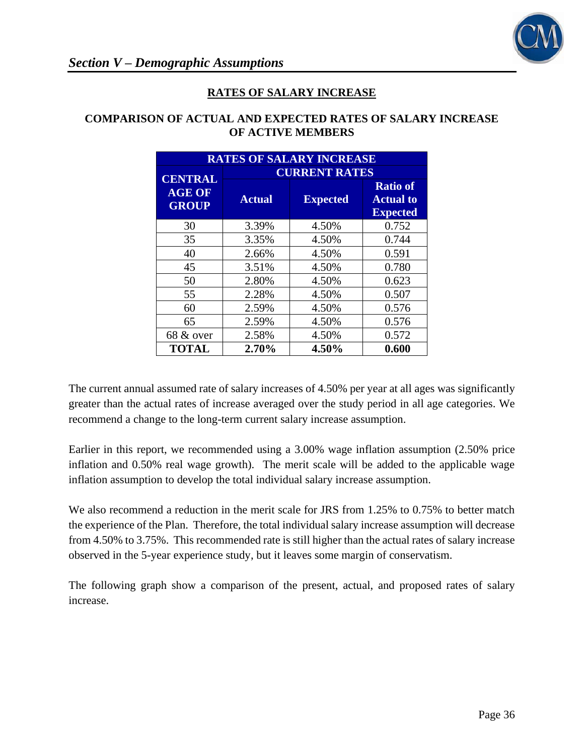

### **RATES OF SALARY INCREASE**

## **COMPARISON OF ACTUAL AND EXPECTED RATES OF SALARY INCREASE OF ACTIVE MEMBERS**

| <b>RATES OF SALARY INCREASE</b> |                      |                 |       |  |  |
|---------------------------------|----------------------|-----------------|-------|--|--|
| <b>CENTRAL</b>                  | <b>CURRENT RATES</b> |                 |       |  |  |
| <b>AGE OF</b><br><b>GROUP</b>   | <b>Actual</b>        | <b>Expected</b> |       |  |  |
| 30                              | 3.39%                | 4.50%           | 0.752 |  |  |
| 35                              | 3.35%                | 4.50%           | 0.744 |  |  |
| 40                              | 2.66%                | 4.50%           | 0.591 |  |  |
| 45                              | 3.51%                | 4.50%           | 0.780 |  |  |
| 50                              | 2.80%                | 4.50%           | 0.623 |  |  |
| 55                              | 2.28%                | 4.50%           | 0.507 |  |  |
| 60                              | 2.59%                | 4.50%           | 0.576 |  |  |
| 65                              | 2.59%                | 4.50%           | 0.576 |  |  |
| $68 \& 0$ ver                   | 2.58%                | 4.50%           | 0.572 |  |  |
| <b>TOTAL</b>                    | 2.70%                | 4.50%           | 0.600 |  |  |

The current annual assumed rate of salary increases of 4.50% per year at all ages was significantly greater than the actual rates of increase averaged over the study period in all age categories. We recommend a change to the long-term current salary increase assumption.

Earlier in this report, we recommended using a 3.00% wage inflation assumption (2.50% price inflation and 0.50% real wage growth). The merit scale will be added to the applicable wage inflation assumption to develop the total individual salary increase assumption.

We also recommend a reduction in the merit scale for JRS from 1.25% to 0.75% to better match the experience of the Plan. Therefore, the total individual salary increase assumption will decrease from 4.50% to 3.75%. This recommended rate is still higher than the actual rates of salary increase observed in the 5-year experience study, but it leaves some margin of conservatism.

The following graph show a comparison of the present, actual, and proposed rates of salary increase.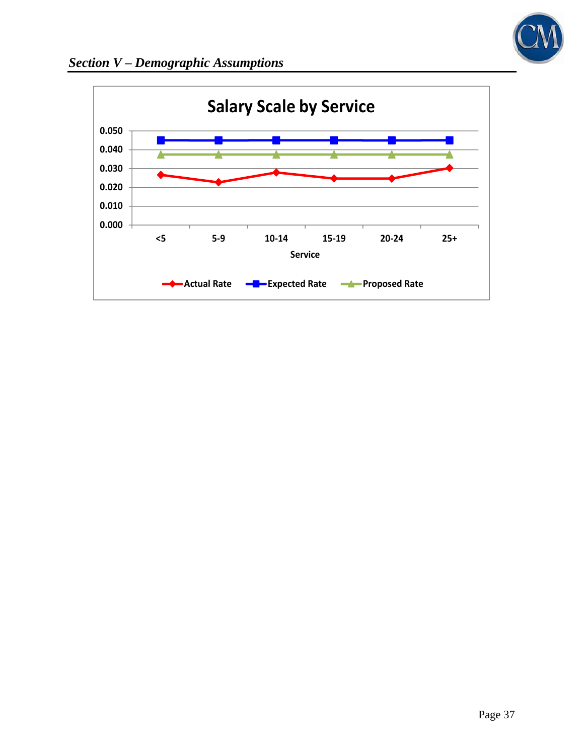

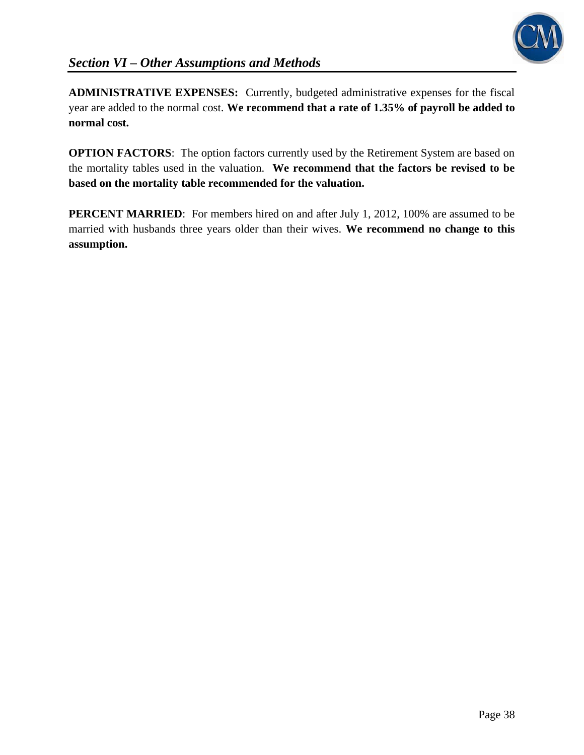

**ADMINISTRATIVE EXPENSES:** Currently, budgeted administrative expenses for the fiscal year are added to the normal cost. **We recommend that a rate of 1.35% of payroll be added to normal cost.**

**OPTION FACTORS:** The option factors currently used by the Retirement System are based on the mortality tables used in the valuation. **We recommend that the factors be revised to be based on the mortality table recommended for the valuation.**

**PERCENT MARRIED**: For members hired on and after July 1, 2012, 100% are assumed to be married with husbands three years older than their wives. **We recommend no change to this assumption.**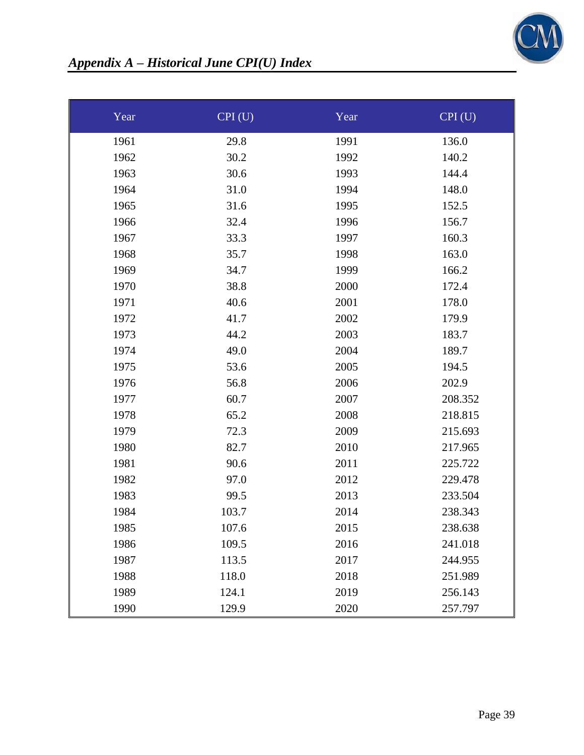

| Year | CPI(U) | Year | CPI(U)  |
|------|--------|------|---------|
| 1961 | 29.8   | 1991 | 136.0   |
| 1962 | 30.2   | 1992 | 140.2   |
| 1963 | 30.6   | 1993 | 144.4   |
| 1964 | 31.0   | 1994 | 148.0   |
| 1965 | 31.6   | 1995 | 152.5   |
| 1966 | 32.4   | 1996 | 156.7   |
| 1967 | 33.3   | 1997 | 160.3   |
| 1968 | 35.7   | 1998 | 163.0   |
| 1969 | 34.7   | 1999 | 166.2   |
| 1970 | 38.8   | 2000 | 172.4   |
| 1971 | 40.6   | 2001 | 178.0   |
| 1972 | 41.7   | 2002 | 179.9   |
| 1973 | 44.2   | 2003 | 183.7   |
| 1974 | 49.0   | 2004 | 189.7   |
| 1975 | 53.6   | 2005 | 194.5   |
| 1976 | 56.8   | 2006 | 202.9   |
| 1977 | 60.7   | 2007 | 208.352 |
| 1978 | 65.2   | 2008 | 218.815 |
| 1979 | 72.3   | 2009 | 215.693 |
| 1980 | 82.7   | 2010 | 217.965 |
| 1981 | 90.6   | 2011 | 225.722 |
| 1982 | 97.0   | 2012 | 229.478 |
| 1983 | 99.5   | 2013 | 233.504 |
| 1984 | 103.7  | 2014 | 238.343 |
| 1985 | 107.6  | 2015 | 238.638 |
| 1986 | 109.5  | 2016 | 241.018 |
| 1987 | 113.5  | 2017 | 244.955 |
| 1988 | 118.0  | 2018 | 251.989 |
| 1989 | 124.1  | 2019 | 256.143 |
| 1990 | 129.9  | 2020 | 257.797 |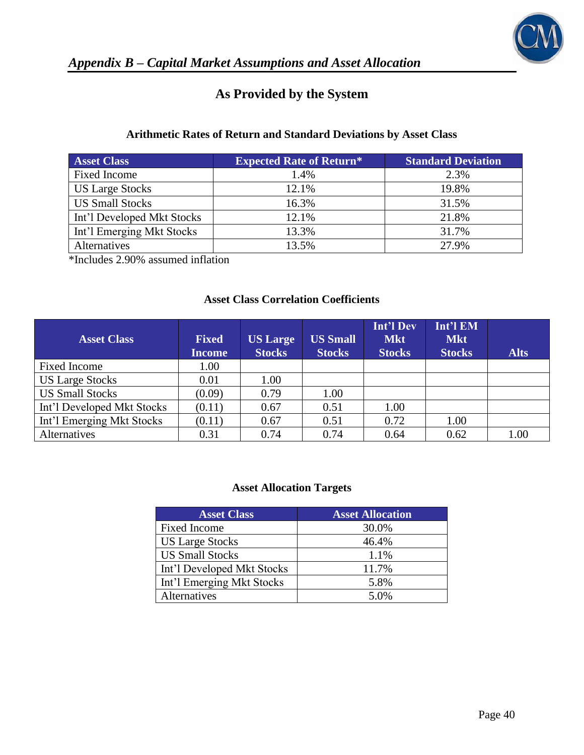

# **As Provided by the System**

## **Arithmetic Rates of Return and Standard Deviations by Asset Class**

| <b>Asset Class</b>         | <b>Expected Rate of Return*</b> | <b>Standard Deviation</b> |
|----------------------------|---------------------------------|---------------------------|
| <b>Fixed Income</b>        | 1.4%                            | 2.3%                      |
| <b>US Large Stocks</b>     | 12.1%                           | 19.8%                     |
| <b>US Small Stocks</b>     | 16.3%                           | 31.5%                     |
| Int'l Developed Mkt Stocks | 12.1%                           | 21.8%                     |
| Int'l Emerging Mkt Stocks  | 13.3%                           | 31.7%                     |
| Alternatives               | 13.5%                           | 27.9%                     |

\*Includes 2.90% assumed inflation

## **Asset Class Correlation Coefficients**

| <b>Asset Class</b>         | <b>Fixed</b><br>Income | <b>US Large</b><br><b>Stocks</b> | <b>US Small</b><br><b>Stocks</b> | <b>Int'l Dev</b><br><b>Mkt</b><br><b>Stocks</b> | Int'l EM<br><b>Mkt</b><br><b>Stocks</b> | <b>Alts</b> |
|----------------------------|------------------------|----------------------------------|----------------------------------|-------------------------------------------------|-----------------------------------------|-------------|
| Fixed Income               | 1.00                   |                                  |                                  |                                                 |                                         |             |
| <b>US Large Stocks</b>     | 0.01                   | 1.00                             |                                  |                                                 |                                         |             |
| <b>US Small Stocks</b>     | (0.09)                 | 0.79                             | 1.00                             |                                                 |                                         |             |
| Int'l Developed Mkt Stocks | (0.11)                 | 0.67                             | 0.51                             | 1.00                                            |                                         |             |
| Int'l Emerging Mkt Stocks  | (0.11)                 | 0.67                             | 0.51                             | 0.72                                            | 1.00                                    |             |
| Alternatives               | 0.31                   | 0.74                             | 0.74                             | 0.64                                            | 0.62                                    | 1.00        |

#### **Asset Allocation Targets**

| <b>Asset Class</b>         | <b>Asset Allocation</b> |
|----------------------------|-------------------------|
| Fixed Income               | 30.0%                   |
| <b>US Large Stocks</b>     | 46.4%                   |
| <b>US Small Stocks</b>     | 1.1%                    |
| Int'l Developed Mkt Stocks | 11.7%                   |
| Int'l Emerging Mkt Stocks  | 5.8%                    |
| Alternatives               | 5.0%                    |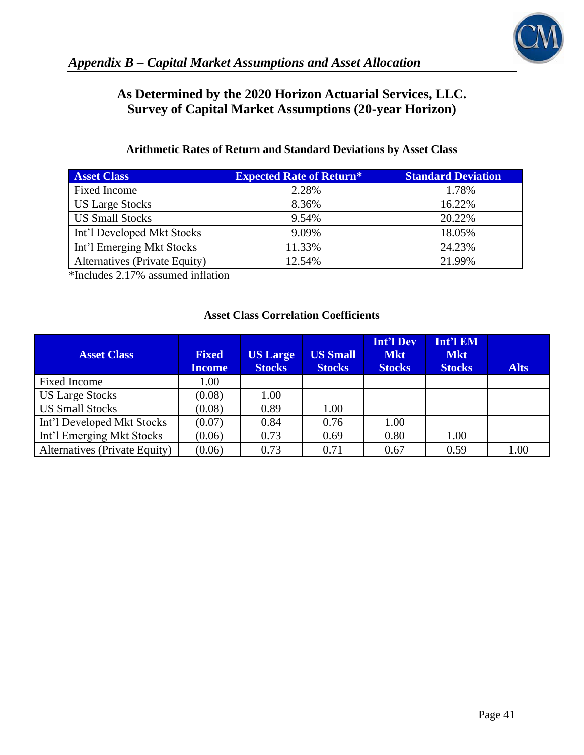

# **As Determined by the 2020 Horizon Actuarial Services, LLC. Survey of Capital Market Assumptions (20-year Horizon)**

## **Arithmetic Rates of Return and Standard Deviations by Asset Class**

| <b>Asset Class</b>            | <b>Expected Rate of Return*</b> | <b>Standard Deviation</b> |
|-------------------------------|---------------------------------|---------------------------|
| Fixed Income                  | 2.28%                           | 1.78%                     |
| <b>US Large Stocks</b>        | 8.36%                           | 16.22%                    |
| <b>US Small Stocks</b>        | 9.54%                           | 20.22%                    |
| Int'l Developed Mkt Stocks    | 9.09%                           | 18.05%                    |
| Int'l Emerging Mkt Stocks     | 11.33%                          | 24.23%                    |
| Alternatives (Private Equity) | 12.54%                          | 21.99%                    |

\*Includes 2.17% assumed inflation

## **Asset Class Correlation Coefficients**

| <b>Asset Class</b>            | <b>Fixed</b><br><b>Income</b> | <b>US Large</b><br><b>Stocks</b> | <b>US Small</b><br><b>Stocks</b> | <b>Int'l Dev</b><br><b>Mkt</b><br><b>Stocks</b> | Int'l EM<br><b>Mkt</b><br><b>Stocks</b> | <b>Alts</b> |
|-------------------------------|-------------------------------|----------------------------------|----------------------------------|-------------------------------------------------|-----------------------------------------|-------------|
| <b>Fixed Income</b>           | 1.00                          |                                  |                                  |                                                 |                                         |             |
| <b>US Large Stocks</b>        | (0.08)                        | 1.00                             |                                  |                                                 |                                         |             |
| <b>US Small Stocks</b>        | (0.08)                        | 0.89                             | 1.00                             |                                                 |                                         |             |
| Int'l Developed Mkt Stocks    | (0.07)                        | 0.84                             | 0.76                             | 1.00                                            |                                         |             |
| Int'l Emerging Mkt Stocks     | (0.06)                        | 0.73                             | 0.69                             | 0.80                                            | 1.00                                    |             |
| Alternatives (Private Equity) | (0.06)                        | 0.73                             | 0.71                             | 0.67                                            | 0.59                                    | 1.00        |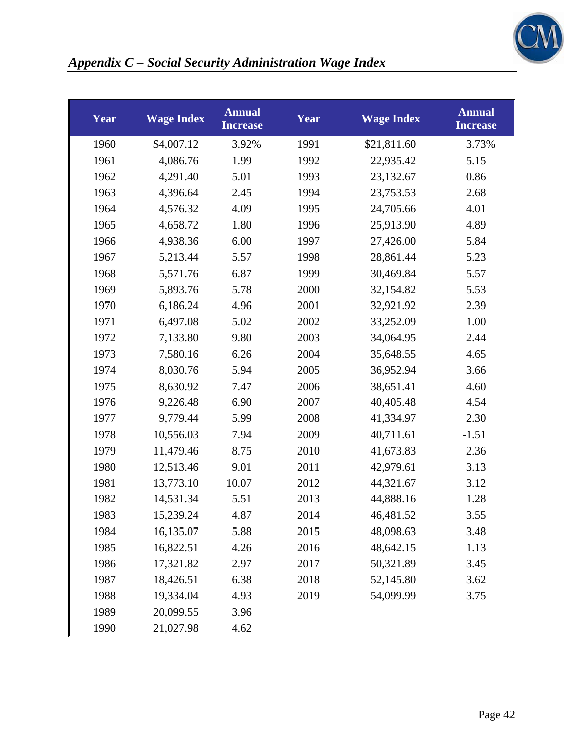

| Year | <b>Wage Index</b> | <b>Annual</b><br><b>Increase</b> | Year | <b>Wage Index</b> | <b>Annual</b><br><b>Increase</b> |
|------|-------------------|----------------------------------|------|-------------------|----------------------------------|
| 1960 | \$4,007.12        | 3.92%                            | 1991 | \$21,811.60       | 3.73%                            |
| 1961 | 4,086.76          | 1.99                             | 1992 | 22,935.42         | 5.15                             |
| 1962 | 4,291.40          | 5.01                             | 1993 | 23,132.67         | 0.86                             |
| 1963 | 4,396.64          | 2.45                             | 1994 | 23,753.53         | 2.68                             |
| 1964 | 4,576.32          | 4.09                             | 1995 | 24,705.66         | 4.01                             |
| 1965 | 4,658.72          | 1.80                             | 1996 | 25,913.90         | 4.89                             |
| 1966 | 4,938.36          | 6.00                             | 1997 | 27,426.00         | 5.84                             |
| 1967 | 5,213.44          | 5.57                             | 1998 | 28,861.44         | 5.23                             |
| 1968 | 5,571.76          | 6.87                             | 1999 | 30,469.84         | 5.57                             |
| 1969 | 5,893.76          | 5.78                             | 2000 | 32,154.82         | 5.53                             |
| 1970 | 6,186.24          | 4.96                             | 2001 | 32,921.92         | 2.39                             |
| 1971 | 6,497.08          | 5.02                             | 2002 | 33,252.09         | 1.00                             |
| 1972 | 7,133.80          | 9.80                             | 2003 | 34,064.95         | 2.44                             |
| 1973 | 7,580.16          | 6.26                             | 2004 | 35,648.55         | 4.65                             |
| 1974 | 8,030.76          | 5.94                             | 2005 | 36,952.94         | 3.66                             |
| 1975 | 8,630.92          | 7.47                             | 2006 | 38,651.41         | 4.60                             |
| 1976 | 9,226.48          | 6.90                             | 2007 | 40,405.48         | 4.54                             |
| 1977 | 9,779.44          | 5.99                             | 2008 | 41,334.97         | 2.30                             |
| 1978 | 10,556.03         | 7.94                             | 2009 | 40,711.61         | $-1.51$                          |
| 1979 | 11,479.46         | 8.75                             | 2010 | 41,673.83         | 2.36                             |
| 1980 | 12,513.46         | 9.01                             | 2011 | 42,979.61         | 3.13                             |
| 1981 | 13,773.10         | 10.07                            | 2012 | 44,321.67         | 3.12                             |
| 1982 | 14,531.34         | 5.51                             | 2013 | 44,888.16         | 1.28                             |
| 1983 | 15,239.24         | 4.87                             | 2014 | 46,481.52         | 3.55                             |
| 1984 | 16,135.07         | 5.88                             | 2015 | 48,098.63         | 3.48                             |
| 1985 | 16,822.51         | 4.26                             | 2016 | 48,642.15         | 1.13                             |
| 1986 | 17,321.82         | 2.97                             | 2017 | 50,321.89         | 3.45                             |
| 1987 | 18,426.51         | 6.38                             | 2018 | 52,145.80         | 3.62                             |
| 1988 | 19,334.04         | 4.93                             | 2019 | 54,099.99         | 3.75                             |
| 1989 | 20,099.55         | 3.96                             |      |                   |                                  |
| 1990 | 21,027.98         | 4.62                             |      |                   |                                  |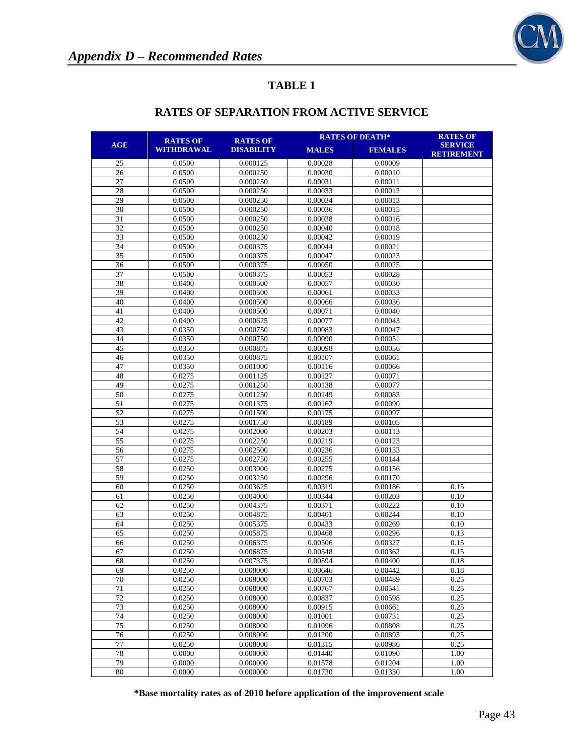

|          |                               |                                      | <b>RATES OF DEATH*</b> | <b>RATES OF</b>    |                                     |
|----------|-------------------------------|--------------------------------------|------------------------|--------------------|-------------------------------------|
| AGE      | <b>RATES OF</b><br>WITHDRAWAL | <b>RATES OF</b><br><b>DISABILITY</b> | <b>MALES</b>           | <b>FEMALES</b>     | <b>SERVICE</b><br><b>RETIREMENT</b> |
| 25       | 0.0500                        | 0.000125                             | 0.00028                | 0.00009            |                                     |
| 26       | 0.0500                        | 0.000250                             | 0.00030                | 0.00010            |                                     |
| 27       | 0.0500                        | 0.000250                             | 0.00031                | 0.00011            |                                     |
| 28       | 0.0500                        | 0.000250                             | 0.00033                | 0.00012            |                                     |
| 29       | 0.0500                        | 0.000250                             | 0.00034                | 0.00013            |                                     |
| 30       | 0.0500                        | 0.000250                             | 0.00036                | 0.00015            |                                     |
| 31       | 0.0500                        | 0.000250                             | 0.00038                | 0.00016            |                                     |
| 32       | 0.0500                        | 0.000250                             | 0.00040                | 0.00018            |                                     |
| 33       | 0.0500                        | 0.000250                             | 0.00042                | 0.00019            |                                     |
| 34       | 0.0500                        | 0.000375                             | 0.00044                | 0.00021            |                                     |
| 35       | 0.0500                        | 0.000375                             | 0.00047                | 0.00023            |                                     |
| 36       | 0.0500                        | 0.000375                             | 0.00050                | 0.00025            |                                     |
| 37       | 0.0500                        | 0.000375                             | 0.00053                | 0.00028            |                                     |
| 38       | 0.0400                        | 0.000500                             | 0.00057                | 0.00030            |                                     |
| 39       | 0.0400                        | 0.000500                             | 0.00061                | 0.00033            |                                     |
| 40       | 0.0400                        | 0.000500                             | 0.00066                | 0.00036            |                                     |
| 41       | 0.0400                        | 0.000500                             | 0.00071                | 0.00040            |                                     |
| 42       | 0.0400                        | 0.000625                             | 0.00077                | 0.00043            |                                     |
| 43       | 0.0350                        | 0.000750                             | 0.00083                | 0.00047            |                                     |
| 44       | 0.0350                        | 0.000750                             | 0.00090                | 0.00051            |                                     |
| 45       | 0.0350                        | 0.000875                             | 0.00098                | 0.00056            |                                     |
| 46       | 0.0350                        | 0.000875                             | 0.00107                | 0.00061            |                                     |
| 47       | 0.0350                        | 0.001000                             | 0.00116                | 0.00066            |                                     |
| 48       | 0.0275                        | 0.001125                             | 0.00127                | 0.00071            |                                     |
| 49       | 0.0275                        | 0.001250                             | 0.00138                | 0.00077            |                                     |
| 50<br>51 | 0.0275<br>0.0275              | 0.001250                             | 0.00149                | 0.00083            |                                     |
| 52       | 0.0275                        | 0.001375<br>0.001500                 | 0.00162<br>0.00175     | 0.00090<br>0.00097 |                                     |
| 53       | 0.0275                        | 0.001750                             | 0.00189                | 0.00105            |                                     |
| 54       | 0.0275                        | 0.002000                             | 0.00203                | 0.00113            |                                     |
| 55       | 0.0275                        | 0.002250                             | 0.00219                | 0.00123            |                                     |
| 56       | 0.0275                        | 0.002500                             | 0.00236                | 0.00133            |                                     |
| 57       | 0.0275                        | 0.002750                             | 0.00255                | 0.00144            |                                     |
| 58       | 0.0250                        | 0.003000                             | 0.00275                | 0.00156            |                                     |
| 59       | 0.0250                        | 0.003250                             | 0.00296                | 0.00170            |                                     |
| 60       | 0.0250                        | 0.003625                             | 0.00319                | 0.00186            | 0.15                                |
| 61       | 0.0250                        | 0.004000                             | 0.00344                | 0.00203            | 0.10                                |
| 62       | 0.0250                        | 0.004375                             | 0.00371                | 0.00222            | 0.10                                |
| 63       | 0.0250                        | 0.004875                             | 0.00401                | 0.00244            | 0.10                                |
| 64       | 0.0250                        | 0.005375                             | 0.00433                | 0.00269            | 0.10                                |
| 65       | 0.0250                        | 0.005875                             | 0.00468                | 0.00296            | 0.13                                |
| 66       | 0.0250                        | 0.006375                             | 0.00506                | 0.00327            | 0.15                                |
| 67       | 0.0250                        | 0.006875                             | 0.00548                | 0.00362            | 0.15                                |
| 68       | 0.0250                        | 0.007375                             | 0.00594                | 0.00400            | 0.18                                |
| 69       | 0.0250                        | 0.008000                             | 0.00646                | 0.00442            | 0.18                                |
| 70       | 0.0250                        | 0.008000                             | 0.00703                | 0.00489            | 0.25                                |
| 71       | 0.0250                        | 0.008000                             | 0.00767                | 0.00541            | 0.25                                |
| 72       | 0.0250                        | 0.008000                             | 0.00837                | 0.00598            | 0.25                                |
| 73       | 0.0250                        | 0.008000                             | 0.00915                | 0.00661            | 0.25                                |
| 74       | 0.0250                        | 0.008000                             | 0.01001                | 0.00731            | 0.25                                |
| 75       | 0.0250                        | 0.008000                             | 0.01096                | 0.00808            | 0.25                                |
| 76       | 0.0250                        | 0.008000                             | 0.01200                | 0.00893            | 0.25                                |
| 77       | 0.0250                        | 0.008000                             | 0.01315                | 0.00986            | 0.25                                |
| 78<br>79 | 0.0000                        | 0.000000<br>0.000000                 | 0.01440                | 0.01090            | 1.00                                |
| 80       | 0.0000<br>0.0000              | 0.000000                             | 0.01578<br>0.01730     | 0.01204<br>0.01330 | 1.00<br>1.00                        |

## **RATES OF SEPARATION FROM ACTIVE SERVICE**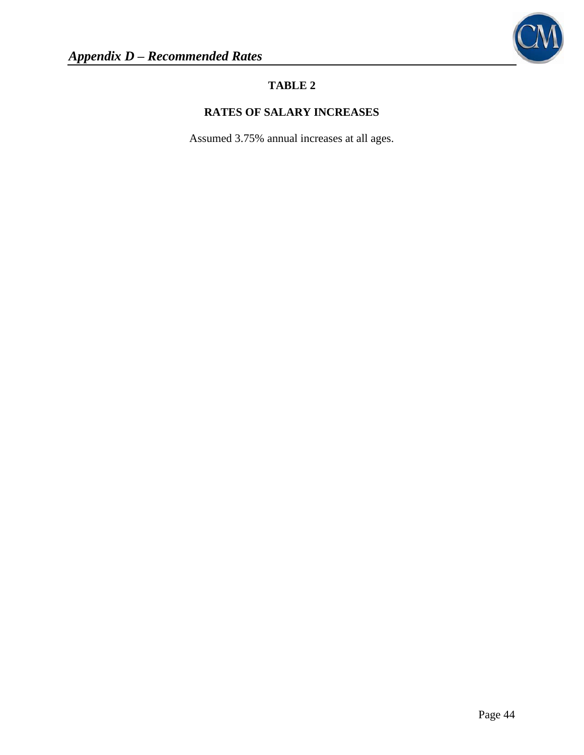

# **RATES OF SALARY INCREASES**

Assumed 3.75% annual increases at all ages.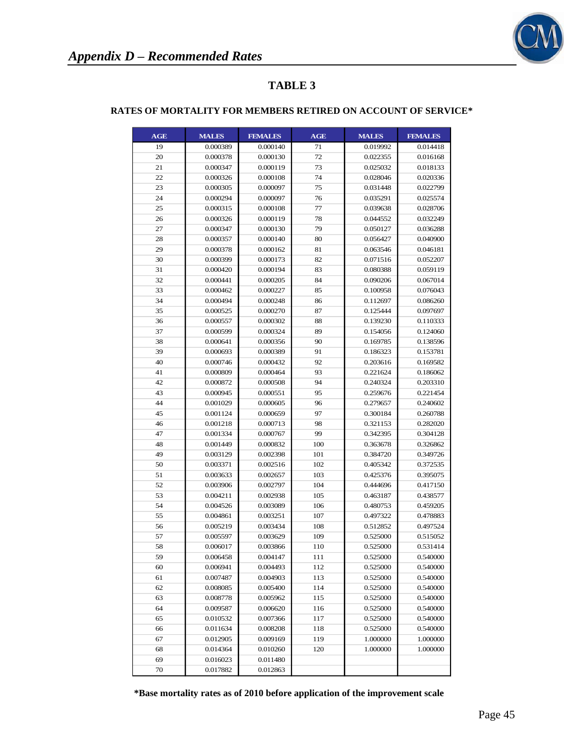

#### **RATES OF MORTALITY FOR MEMBERS RETIRED ON ACCOUNT OF SERVICE\***

| <b>AGE</b> | <b>MALES</b> | <b>FEMALES</b> | AGE | <b>MALES</b> | <b>FEMALES</b> |
|------------|--------------|----------------|-----|--------------|----------------|
| 19         | 0.000389     | 0.000140       | 71  | 0.019992     | 0.014418       |
| 20         | 0.000378     | 0.000130       | 72  | 0.022355     | 0.016168       |
| 21         | 0.000347     | 0.000119       | 73  | 0.025032     | 0.018133       |
| 22         | 0.000326     | 0.000108       | 74  | 0.028046     | 0.020336       |
| 23         | 0.000305     | 0.000097       | 75  | 0.031448     | 0.022799       |
| 24         | 0.000294     | 0.000097       | 76  | 0.035291     | 0.025574       |
| 25         | 0.000315     | 0.000108       | 77  | 0.039638     | 0.028706       |
| 26         | 0.000326     | 0.000119       | 78  | 0.044552     | 0.032249       |
| 27         | 0.000347     | 0.000130       | 79  | 0.050127     | 0.036288       |
| 28         | 0.000357     | 0.000140       | 80  | 0.056427     | 0.040900       |
| 29         | 0.000378     | 0.000162       | 81  | 0.063546     | 0.046181       |
| 30         | 0.000399     | 0.000173       | 82  | 0.071516     | 0.052207       |
| 31         | 0.000420     | 0.000194       | 83  | 0.080388     | 0.059119       |
| 32         | 0.000441     | 0.000205       | 84  | 0.090206     | 0.067014       |
| 33         | 0.000462     | 0.000227       | 85  | 0.100958     | 0.076043       |
| 34         | 0.000494     | 0.000248       | 86  | 0.112697     | 0.086260       |
| 35         | 0.000525     | 0.000270       | 87  | 0.125444     | 0.097697       |
| 36         | 0.000557     | 0.000302       | 88  | 0.139230     | 0.110333       |
| 37         | 0.000599     | 0.000324       | 89  | 0.154056     | 0.124060       |
| 38         | 0.000641     | 0.000356       | 90  | 0.169785     | 0.138596       |
| 39         | 0.000693     | 0.000389       | 91  | 0.186323     | 0.153781       |
| 40         | 0.000746     | 0.000432       | 92  | 0.203616     | 0.169582       |
| 41         | 0.000809     | 0.000464       | 93  | 0.221624     | 0.186062       |
| 42         | 0.000872     | 0.000508       | 94  | 0.240324     | 0.203310       |
| 43         | 0.000945     | 0.000551       | 95  | 0.259676     | 0.221454       |
| 44         | 0.001029     | 0.000605       | 96  | 0.279657     | 0.240602       |
| 45         | 0.001124     | 0.000659       | 97  | 0.300184     | 0.260788       |
| 46         | 0.001218     | 0.000713       | 98  | 0.321153     | 0.282020       |
| 47         | 0.001334     | 0.000767       | 99  | 0.342395     | 0.304128       |
| 48         | 0.001449     | 0.000832       | 100 | 0.363678     | 0.326862       |
| 49         | 0.003129     | 0.002398       | 101 | 0.384720     | 0.349726       |
| 50         | 0.003371     | 0.002516       | 102 | 0.405342     | 0.372535       |
| 51         | 0.003633     | 0.002657       | 103 | 0.425376     | 0.395075       |
| 52         | 0.003906     | 0.002797       | 104 | 0.444696     | 0.417150       |
| 53         | 0.004211     | 0.002938       | 105 | 0.463187     | 0.438577       |
| 54         | 0.004526     | 0.003089       | 106 | 0.480753     | 0.459205       |
| 55         | 0.004861     | 0.003251       | 107 | 0.497322     | 0.478883       |
| 56         | 0.005219     | 0.003434       | 108 | 0.512852     | 0.497524       |
| 57         | 0.005597     | 0.003629       | 109 | 0.525000     | 0.515052       |
| 58         | 0.006017     | 0.003866       | 110 | 0.525000     | 0.531414       |
| 59         | 0.006458     | 0.004147       | 111 | 0.525000     | 0.540000       |
| 60         | 0.006941     | 0.004493       | 112 | 0.525000     | 0.540000       |
| 61         | 0.007487     | 0.004903       | 113 | 0.525000     | 0.540000       |
| 62         | 0.008085     | 0.005400       | 114 | 0.525000     | 0.540000       |
| 63         | 0.008778     | 0.005962       | 115 | 0.525000     | 0.540000       |
| 64         | 0.009587     | 0.006620       | 116 | 0.525000     | 0.540000       |
| 65         | 0.010532     | 0.007366       | 117 | 0.525000     | 0.540000       |
| 66         | 0.011634     | 0.008208       | 118 | 0.525000     | 0.540000       |
| 67         | 0.012905     | 0.009169       | 119 | 1.000000     | 1.000000       |
| 68         | 0.014364     | 0.010260       | 120 | 1.000000     | 1.000000       |
| 69         | 0.016023     | 0.011480       |     |              |                |
| 70         | 0.017882     | 0.012863       |     |              |                |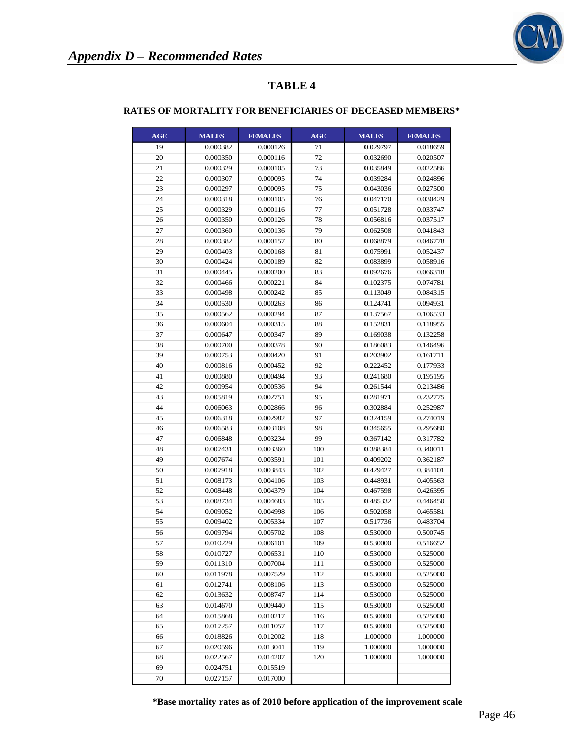

#### **RATES OF MORTALITY FOR BENEFICIARIES OF DECEASED MEMBERS\***

| <b>AGE</b> | <b>MALES</b> | <b>FEMALES</b> | AGE | <b>MALES</b> | <b>FEMALES</b> |
|------------|--------------|----------------|-----|--------------|----------------|
| 19         | 0.000382     | 0.000126       | 71  | 0.029797     | 0.018659       |
| 20         | 0.000350     | 0.000116       | 72  | 0.032690     | 0.020507       |
| 21         | 0.000329     | 0.000105       | 73  | 0.035849     | 0.022586       |
| 22         | 0.000307     | 0.000095       | 74  | 0.039284     | 0.024896       |
| 23         | 0.000297     | 0.000095       | 75  | 0.043036     | 0.027500       |
| 24         | 0.000318     | 0.000105       | 76  | 0.047170     | 0.030429       |
| 25         | 0.000329     | 0.000116       | 77  | 0.051728     | 0.033747       |
| 26         | 0.000350     | 0.000126       | 78  | 0.056816     | 0.037517       |
| 27         | 0.000360     | 0.000136       | 79  | 0.062508     | 0.041843       |
| 28         | 0.000382     | 0.000157       | 80  | 0.068879     | 0.046778       |
| 29         | 0.000403     | 0.000168       | 81  | 0.075991     | 0.052437       |
| 30         | 0.000424     | 0.000189       | 82  | 0.083899     | 0.058916       |
| 31         | 0.000445     | 0.000200       | 83  | 0.092676     | 0.066318       |
| 32         | 0.000466     | 0.000221       | 84  | 0.102375     | 0.074781       |
| 33         | 0.000498     | 0.000242       | 85  | 0.113049     | 0.084315       |
| 34         | 0.000530     | 0.000263       | 86  | 0.124741     | 0.094931       |
| 35         | 0.000562     | 0.000294       | 87  | 0.137567     | 0.106533       |
| 36         | 0.000604     | 0.000315       | 88  | 0.152831     | 0.118955       |
| 37         | 0.000647     | 0.000347       | 89  | 0.169038     | 0.132258       |
| 38         | 0.000700     | 0.000378       | 90  | 0.186083     | 0.146496       |
| 39         | 0.000753     | 0.000420       | 91  | 0.203902     | 0.161711       |
| 40         | 0.000816     | 0.000452       | 92  | 0.222452     | 0.177933       |
| 41         | 0.000880     | 0.000494       | 93  | 0.241680     | 0.195195       |
| 42         | 0.000954     | 0.000536       | 94  | 0.261544     | 0.213486       |
| 43         | 0.005819     | 0.002751       | 95  | 0.281971     | 0.232775       |
| 44         | 0.006063     | 0.002866       | 96  | 0.302884     | 0.252987       |
| 45         | 0.006318     | 0.002982       | 97  | 0.324159     | 0.274019       |
| 46         | 0.006583     | 0.003108       | 98  | 0.345655     | 0.295680       |
| 47         | 0.006848     | 0.003234       | 99  | 0.367142     | 0.317782       |
| 48         | 0.007431     | 0.003360       | 100 | 0.388384     | 0.340011       |
| 49         | 0.007674     | 0.003591       | 101 | 0.409202     | 0.362187       |
| 50         | 0.007918     | 0.003843       | 102 | 0.429427     | 0.384101       |
| 51         | 0.008173     | 0.004106       | 103 | 0.448931     | 0.405563       |
| 52         | 0.008448     | 0.004379       | 104 | 0.467598     | 0.426395       |
| 53         | 0.008734     | 0.004683       | 105 | 0.485332     | 0.446450       |
| 54         | 0.009052     | 0.004998       | 106 | 0.502058     | 0.465581       |
| 55         | 0.009402     | 0.005334       | 107 | 0.517736     | 0.483704       |
| 56         | 0.009794     | 0.005702       | 108 | 0.530000     | 0.500745       |
| 57         | 0.010229     | 0.006101       | 109 | 0.530000     | 0.516652       |
| 58         | 0.010727     | 0.006531       | 110 | 0.530000     | 0.525000       |
| 59         | 0.011310     | 0.007004       | 111 | 0.530000     | 0.525000       |
| 60         | 0.011978     | 0.007529       | 112 | 0.530000     | 0.525000       |
| 61         | 0.012741     | 0.008106       | 113 | 0.530000     | 0.525000       |
| 62         | 0.013632     | 0.008747       | 114 | 0.530000     | 0.525000       |
| 63         | 0.014670     | 0.009440       | 115 | 0.530000     | 0.525000       |
| 64         | 0.015868     | 0.010217       | 116 | 0.530000     | 0.525000       |
| 65         | 0.017257     | 0.011057       | 117 | 0.530000     | 0.525000       |
| 66         | 0.018826     | 0.012002       | 118 | 1.000000     | 1.000000       |
| 67         | 0.020596     | 0.013041       | 119 | 1.000000     | 1.000000       |
| 68         | 0.022567     | 0.014207       | 120 | 1.000000     | 1.000000       |
| 69         | 0.024751     | 0.015519       |     |              |                |
| 70         | 0.027157     | 0.017000       |     |              |                |